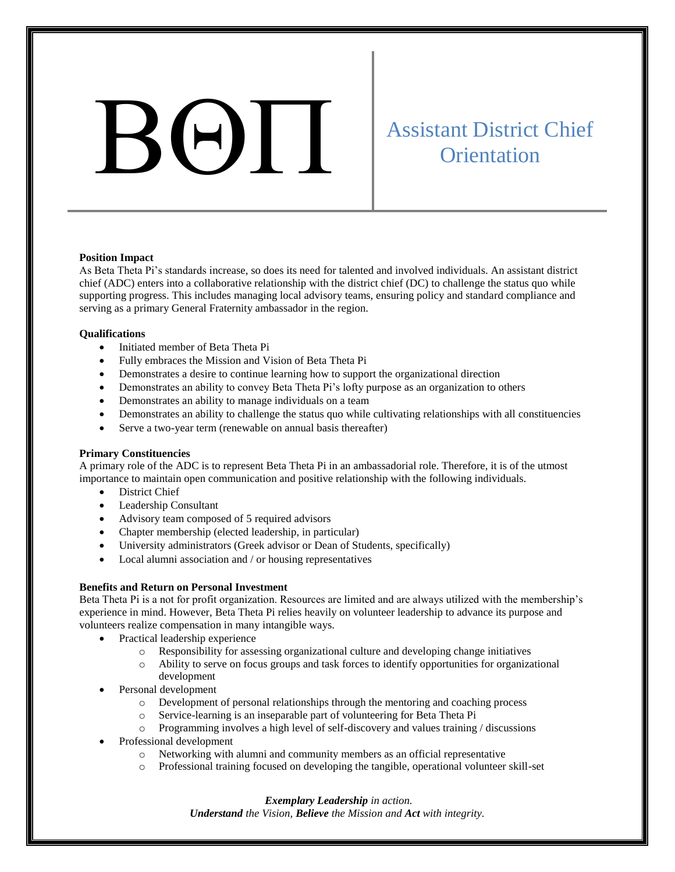# Assistant District Chief<br>Orientation

# **Orientation**

### **Position Impact**

As Beta Theta Pi's standards increase, so does its need for talented and involved individuals. An assistant district chief (ADC) enters into a collaborative relationship with the district chief (DC) to challenge the status quo while supporting progress. This includes managing local advisory teams, ensuring policy and standard compliance and serving as a primary General Fraternity ambassador in the region.

### **Qualifications**

- Initiated member of Beta Theta Pi
- Fully embraces the Mission and Vision of Beta Theta Pi
- Demonstrates a desire to continue learning how to support the organizational direction
- Demonstrates an ability to convey Beta Theta Pi's lofty purpose as an organization to others
- Demonstrates an ability to manage individuals on a team
- Demonstrates an ability to challenge the status quo while cultivating relationships with all constituencies
- Serve a two-year term (renewable on annual basis thereafter)

# **Primary Constituencies**

A primary role of the ADC is to represent Beta Theta Pi in an ambassadorial role. Therefore, it is of the utmost importance to maintain open communication and positive relationship with the following individuals.

- District Chief
- Leadership Consultant
- Advisory team composed of 5 required advisors
- Chapter membership (elected leadership, in particular)
- University administrators (Greek advisor or Dean of Students, specifically)
- Local alumni association and / or housing representatives

# **Benefits and Return on Personal Investment**

Beta Theta Pi is a not for profit organization. Resources are limited and are always utilized with the membership's experience in mind. However, Beta Theta Pi relies heavily on volunteer leadership to advance its purpose and volunteers realize compensation in many intangible ways.

- Practical leadership experience
	- o Responsibility for assessing organizational culture and developing change initiatives
	- o Ability to serve on focus groups and task forces to identify opportunities for organizational development
- Personal development
	- o Development of personal relationships through the mentoring and coaching process
	- o Service-learning is an inseparable part of volunteering for Beta Theta Pi
	- o Programming involves a high level of self-discovery and values training / discussions
- Professional development
	- o Networking with alumni and community members as an official representative
	- o Professional training focused on developing the tangible, operational volunteer skill-set

*Exemplary Leadership in action. Understand the Vision, Believe the Mission and Act with integrity.*